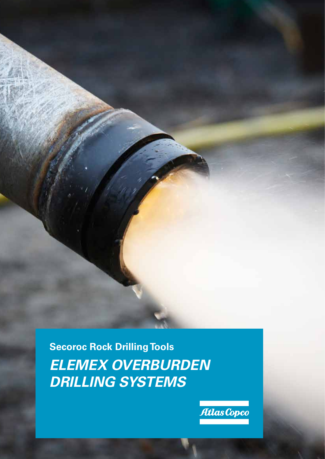**Secoroc Rock Drilling Tools** *ELEMEX OVERBURDEN DRILLING SYSTEMS*

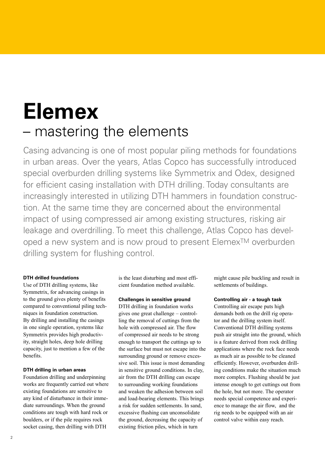# **Elemex** – mastering the elements

Casing advancing is one of most popular piling methods for foundations in urban areas. Over the years, Atlas Copco has successfully introduced special overburden drilling systems like Symmetrix and Odex, designed for efficient casing installation with DTH drilling. Today consultants are increasingly interested in utilizing DTH hammers in foundation construction. At the same time they are concerned about the environmental impact of using compressed air among existing structures, risking air leakage and overdrilling. To meet this challenge, Atlas Copco has developed a new system and is now proud to present ElemexTM overburden drilling system for flushing control.

### **DTH drilled foundations**

Use of DTH drilling systems, like Symmetrix, for advancing casings in to the ground gives plenty of benefits compared to conventional piling techniques in foundation construction. By drilling and installing the casings in one single operation, systems like Symmetrix provides high productivity, straight holes, deep hole drilling capacity, just to mention a few of the benefits.

#### **DTH drilling in urban areas**

Foundation drilling and underpinning works are frequently carried out where existing foundations are sensitive to any kind of disturbance in their immediate surroundings. When the ground conditions are tough with hard rock or boulders, or if the pile requires rock socket casing, then drilling with DTH

is the least disturbing and most efficient foundation method available.

#### **Challenges in sensitive ground**

DTH drilling in foundation works gives one great challenge – controlling the removal of cuttings from the hole with compressed air. The flow of compressed air needs to be strong enough to transport the cuttings up to the surface but must not escape into the surrounding ground or remove excessive soil. This issue is most demanding in sensitive ground conditions. In clay, air from the DTH drilling can escape to surrounding working foundations and weaken the adhesion between soil and load-bearing elements. This brings a risk for sudden settlements. In sand, excessive flushing can unconsolidate the ground, decreasing the capacity of existing friction piles, which in turn

might cause pile buckling and result in settlements of buildings.

#### **Controlling air - a tough task**

Controlling air escape puts high demands both on the drill rig operator and the drilling system itself. Conventional DTH drilling systems push air straight into the ground, which is a feature derived from rock drilling applications where the rock face needs as much air as possible to be cleaned efficiently. However, overburden drilling conditions make the situation much more complex. Flushing should be just intense enough to get cuttings out from the hole, but not more. The operator needs special competence and experience to manage the air flow, and the rig needs to be equipped with an air control valve within easy reach.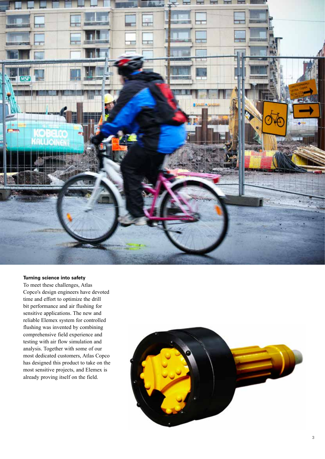

#### **Turning science into safety**

To meet these challenges, Atlas Copco's design engineers have devoted time and effort to optimize the drill bit performance and air flushing for sensitive applications. The new and reliable Elemex system for controlled flushing was invented by combining comprehensive field experience and testing with air flow simulation and analysis. Together with some of our most dedicated customers, Atlas Copco has designed this product to take on the most sensitive projects, and Elemex is already proving itself on the field.

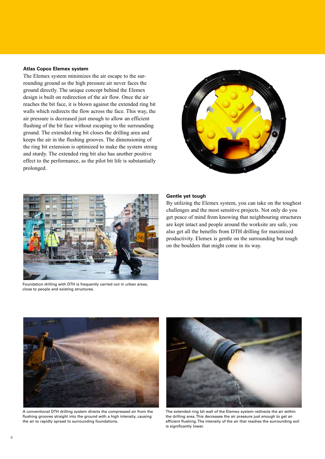#### **Atlas Copco Elemex system**

The Elemex system minimizes the air escape to the surrounding ground as the high pressure air never faces the ground directly. The unique concept behind the Elemex design is built on redirection of the air flow. Once the air reaches the bit face, it is blown against the extended ring bit walls which redirects the flow across the face. This way, the air pressure is decreased just enough to allow an efficient flushing of the bit face without escaping to the surrounding ground. The extended ring bit closes the drilling area and keeps the air in the flushing grooves. The dimensioning of the ring bit extension is optimized to make the system strong and sturdy. The extended ring bit also has another positive effect to the performance, as the pilot bit life is substantially prolonged.





Foundation drilling with DTH is frequently carried out in urban areas, close to people and existing structures.

#### **Gentle yet tough**

By utilizing the Elemex system, you can take on the toughest challenges and the most sensitive projects. Not only do you get peace of mind from knowing that neighbouring structures are kept intact and people around the worksite are safe, you also get all the benefits from DTH drilling for maximized productivity. Elemex is gentle on the surrounding but tough on the boulders that might come in its way.



A conventional DTH drilling system directs the compressed air from the flushing grooves straight into the ground with a high intensity, causing the air to rapidly spread to surrounding foundations.



The extended ring bit wall of the Elemex system redirects the air within the drilling area. This decreases the air pressure just enough to get an efficient flushing. The intensity of the air that reaches the surrounding soil is significantly lower.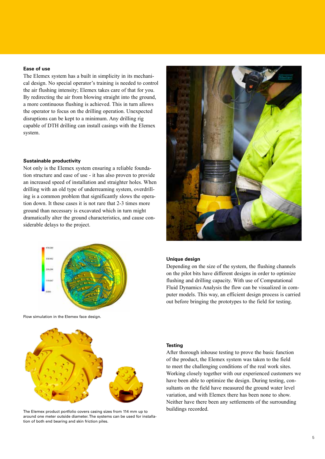#### **Ease of use**

The Elemex system has a built in simplicity in its mechanical design. No special operator's training is needed to control the air flushing intensity; Elemex takes care of that for you. By redirecting the air from blowing straight into the ground, a more continuous flushing is achieved. This in turn allows the operator to focus on the drilling operation. Unexpected disruptions can be kept to a minimum. Any drilling rig capable of DTH drilling can install casings with the Elemex system.

#### **Sustainable productivity**

Not only is the Elemex system ensuring a reliable foundation structure and ease of use - it has also proven to provide an increased speed of installation and straighter holes. When drilling with an old type of underreaming system, overdrilling is a common problem that significantly slows the operation down. It these cases it is not rare that 2-3 times more ground than necessary is excavated which in turn might dramatically alter the ground characteristics, and cause considerable delays to the project.







The Elemex product portfolio covers casing sizes from 114 mm up to around one meter outside diameter. The systems can be used for installation of both end bearing and skin friction piles.

#### **Unique design**

Depending on the size of the system, the flushing channels on the pilot bits have different designs in order to optimize flushing and drilling capacity. With use of Computational Fluid Dynamics Analysis the flow can be visualized in computer models. This way, an efficient design process is carried out before bringing the prototypes to the field for testing.

#### **Testing**

After thorough inhouse testing to prove the basic function of the product, the Elemex system was taken to the field to meet the challenging conditions of the real work sites. Working closely together with our experienced customers we have been able to optimize the design. During testing, consultants on the field have measured the ground water level variation, and with Elemex there has been none to show. Neither have there been any settlements of the surrounding buildings recorded.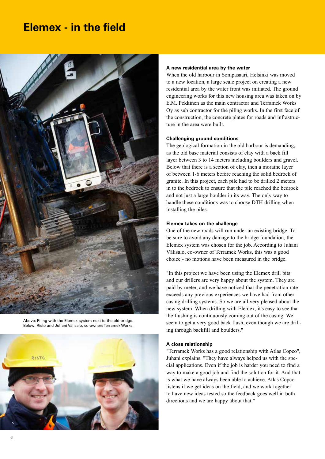### **Elemex - in the field**



Above: Piling with the Elemex system next to the old bridge. Below: Risto and Juhani Välisalo, co-owners Terramek Works.



#### **A new residential area by the water**

When the old harbour in Sompasaari, Helsinki was moved to a new location, a large scale project on creating a new residential area by the water front was initiated. The ground engineering works for this new housing area was taken on by E.M. Pekkinen as the main contractor and Terramek Works Oy as sub contractor for the piling works. In the first face of the construction, the concrete plates for roads and infrastructure in the area were built.

#### **Challenging ground conditions**

The geological formation in the old harbour is demanding, as the old base material consists of clay with a back fill layer between 3 to 14 meters including boulders and gravel. Below that there is a section of clay, then a moraine layer of between 1-6 meters before reaching the solid bedrock of granite. In this project, each pile had to be drilled 2 meters in to the bedrock to ensure that the pile reached the bedrock and not just a large boulder in its way. The only way to handle these conditions was to choose DTH drilling when installing the piles.

#### **Elemex takes on the challenge**

One of the new roads will run under an existing bridge. To be sure to avoid any damage to the bridge foundation, the Elemex system was chosen for the job. According to Juhani Välisalo, co-owner of Terramek Works, this was a good choice - no motions have been measured in the bridge.

"In this project we have been using the Elemex drill bits and our drillers are very happy about the system. They are paid by meter, and we have noticed that the penetration rate exceeds any previous experiences we have had from other casing drilling systems. So we are all very pleased about the new system. When drilling with Elemex, it's easy to see that the flushing is continuously coming out of the casing. We seem to get a very good back flush, even though we are drilling through backfill and boulders."

#### **A close relationship**

"Terramek Works has a good relationship with Atlas Copco", Juhani explains. "They have always helped us with the special applications. Even if the job is harder you need to find a way to make a good job and find the solution for it. And that is what we have always been able to achieve. Atlas Copco listens if we get ideas on the field, and we work together to have new ideas tested so the feedback goes well in both directions and we are happy about that."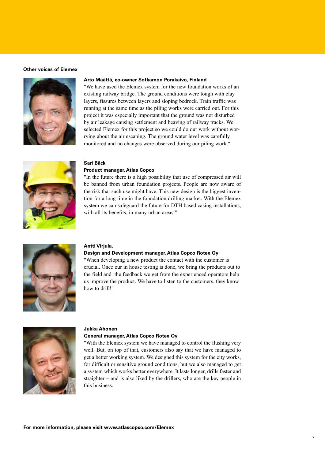#### **Other voices of Elemex**



#### **Arto Määttä, co-owner Sotkamon Porakaivo, Finland**

"We have used the Elemex system for the new foundation works of an existing railway bridge. The ground conditions were tough with clay layers, fissures between layers and sloping bedrock. Train traffic was running at the same time as the piling works were carried out. For this project it was especially important that the ground was not disturbed by air leakage causing settlement and heaving of railway tracks. We selected Elemex for this project so we could do our work without worrying about the air escaping. The ground water level was carefully monitored and no changes were observed during our piling work."



#### **Sari Bäck**

#### **Product manager, Atlas Copco**

"In the future there is a high possibility that use of compressed air will be banned from urban foundation projects. People are now aware of the risk that such use might have. This new design is the biggest invention for a long time in the foundation drilling market. With the Elemex system we can safeguard the future for DTH based casing installations, with all its benefits, in many urban areas."



#### **Antti Virjula,**

#### **Design and Development manager, Atlas Copco Rotex Oy**

"When developing a new product the contact with the customer is crucial. Once our in house testing is done, we bring the products out to the field and the feedback we get from the experienced operators help us improve the product. We have to listen to the customers, they know how to drill!"



#### **Jukka Ahonen**

#### **General manager, Atlas Copco Rotex Oy**

"With the Elemex system we have managed to control the flushing very well. But, on top of that, customers also say that we have managed to get a better working system. We designed this system for the city works, for difficult or sensitive ground conditions, but we also managed to get a system which works better everywhere. It lasts longer, drills faster and straighter – and is also liked by the drillers, who are the key people in this business.